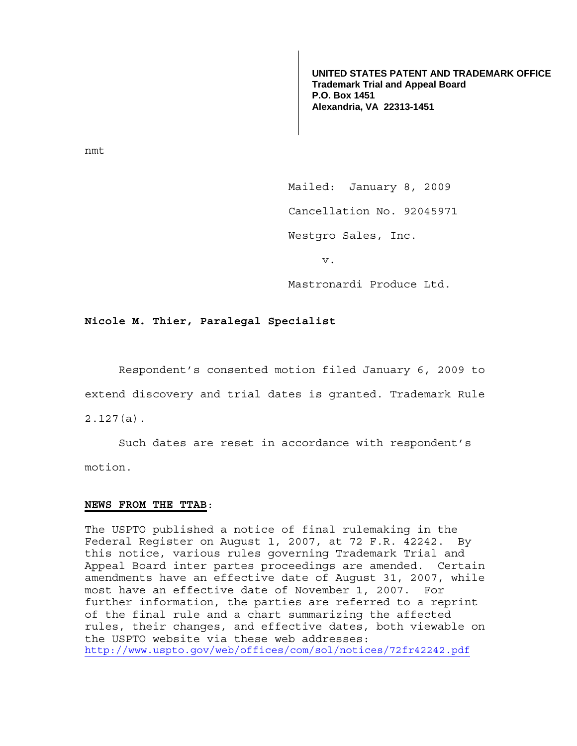**UNITED STATES PATENT AND TRADEMARK OFFICE Trademark Trial and Appeal Board P.O. Box 1451 Alexandria, VA 22313-1451**

nmt

 Mailed: January 8, 2009 Cancellation No. 92045971 Westgro Sales, Inc.

v.

Mastronardi Produce Ltd.

## **Nicole M. Thier, Paralegal Specialist**

 Respondent's consented motion filed January 6, 2009 to extend discovery and trial dates is granted. Trademark Rule 2.127(a).

 Such dates are reset in accordance with respondent's motion.

## **NEWS FROM THE TTAB**:

The USPTO published a notice of final rulemaking in the Federal Register on August 1, 2007, at 72 F.R. 42242. By this notice, various rules governing Trademark Trial and Appeal Board inter partes proceedings are amended. Certain amendments have an effective date of August 31, 2007, while most have an effective date of November 1, 2007. For further information, the parties are referred to a reprint of the final rule and a chart summarizing the affected rules, their changes, and effective dates, both viewable on the USPTO website via these web addresses: http://www.uspto.gov/web/offices/com/sol/notices/72fr42242.pdf